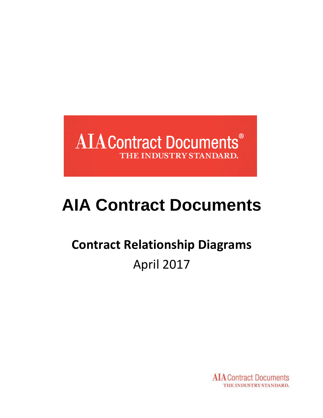

# **AIA Contract Documents**

## **Contract Relationship Diagrams** April 2017

**AIA** Contract Documents THE INDUSTRY STANDARD.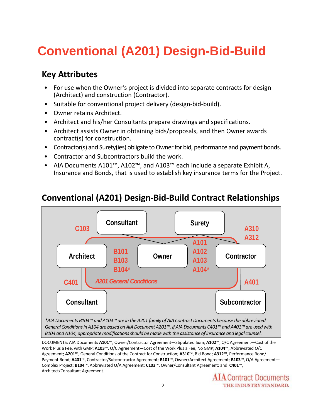### **Conventional (A201) Design-Bid-Build**

### **Key Attributes**

- For use when the Owner's project is divided into separate contracts for design (Architect) and construction (Contractor).
- Suitable for conventional project delivery (design-bid-build).
- Owner retains Architect.
- Architect and his/her Consultants prepare drawings and specifications.
- Architect assists Owner in obtaining bids/proposals, and then Owner awards contract(s) for construction.
- Contractor(s) and Surety(ies) obligate to Owner for bid, performance and payment bonds.
- Contractor and Subcontractors build the work.
- AIA Documents A101™, A102™, and A103™ each include a separate Exhibit A, Insurance and Bonds, that is used to establish key insurance terms for the Project.



### **Conventional (A201) Design‐Bid‐Build Contract Relationships**

DOCUMENTS: AIA Documents **A101**™, Owner/Contractor Agreement—Stipulated Sum; **A102**™, O/C Agreement—Cost of the Work Plus a Fee, with GMP; **A103**™, O/C Agreement—Cost of the Work Plus a Fee, No GMP; **A104**™, Abbreviated O/C Agreement; **A201**™, General Conditions of the Contract for Construction; **A310**™, Bid Bond; **A312**™, Performance Bond/ Payment Bond; **A401**™, Contractor/Subcontractor Agreement; **B101**™, Owner/Architect Agreement; **B103**™, O/A Agreement— Complex Project; **B104**™, Abbreviated O/A Agreement; **C103**™, Owner/Consultant Agreement; and **C401**™, Architect/Consultant Agreement.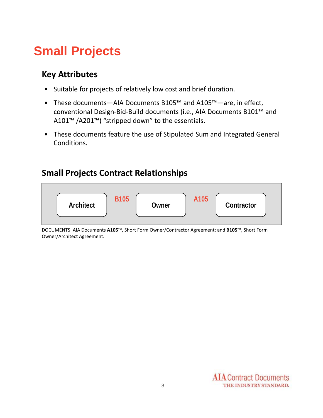### **Small Projects**

### **Key Attributes**

- Suitable for projects of relatively low cost and brief duration.
- These documents—AIA Documents B105™ and A105™—are, in effect, conventional Design‐Bid‐Build documents (i.e., AIA Documents B101™ and A101™ /A201™) "stripped down" to the essentials.
- These documents feature the use of Stipulated Sum and Integrated General Conditions.

### **Small Projects Contract Relationships**



DOCUMENTS: AIA Documents **A105**™, Short Form Owner/Contractor Agreement; and **B105**™, Short Form Owner/Architect Agreement.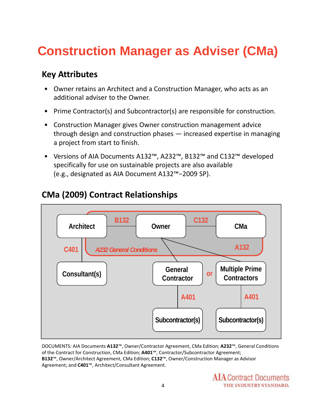### **Construction Manager as Adviser (CMa)**

### **Key Attributes**

- Owner retains an Architect and a Construction Manager, who acts as an additional adviser to the Owner.
- Prime Contractor(s) and Subcontractor(s) are responsible for construction.
- Construction Manager gives Owner construction management advice through design and construction phases — increased expertise in managing a project from start to finish.
- Versions of AIA Documents A132™, A232™, B132™ and C132™ developed specifically for use on sustainable projects are also available (e.g., designated as AIA Document A132™−2009 SP).



### **CMa (2009) Contract Relationships**

DOCUMENTS: AIA Documents **A132**™, Owner/Contractor Agreement, CMa Edition; **A232**™, General Conditions of the Contract for Construction, CMa Edition; **A401**™, Contractor/Subcontractor Agreement; **B132**™, Owner/Architect Agreement, CMa Edition; **C132**™, Owner/Construction Manager as Advisor Agreement; and **C401**™, Architect/Consultant Agreement.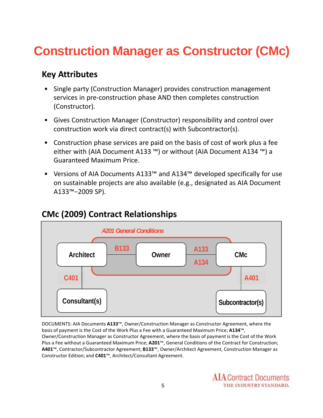### **Construction Manager as Constructor (CMc)**

### **Key Attributes**

- Single party (Construction Manager) provides construction management services in pre-construction phase AND then completes construction (Constructor).
- Gives Construction Manager (Constructor) responsibility and control over construction work via direct contract(s) with Subcontractor(s).
- Construction phase services are paid on the basis of cost of work plus a fee either with (AIA Document A133 ™) or without (AIA Document A134 ™) a Guaranteed Maximum Price.
- Versions of AIA Documents A133™ and A134™ developed specifically for use on sustainable projects are also available (e.g., designated as AIA Document A133™−2009 SP).

### **CMc (2009) Contract Relationships**



DOCUMENTS: AIA Documents **A133**™, Owner/Construction Manager as Constructor Agreement, where the basis of payment is the Cost of the Work Plus a Fee with a Guaranteed Maximum Price; **A134**™, Owner/Construction Manager as Constructor Agreement, where the basis of payment is the Cost of the Work Plus a Fee without a Guaranteed Maximum Price; **A201**™, General Conditions of the Contract for Construction; **A401**™, Contractor/Subcontractor Agreement; **B133**™, Owner/Architect Agreement, Construction Manager as Constructor Edition; and **C401**™, Architect/Consultant Agreement.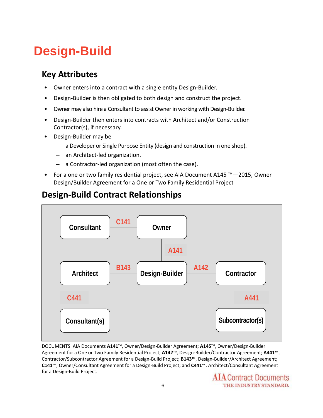### **Design-Build**

### **Key Attributes**

- Owner enters into a contract with a single entity Design-Builder.
- Design‐Builder is then obligated to both design and construct the project.
- Owner may also hire a Consultant to assist Owner in working with Design-Builder.
- Design-Builder then enters into contracts with Architect and/or Construction Contractor(s), if necessary.
- Design‐Builder may be
	- a Developer or Single Purpose Entity (design and construction in one shop).
	- an Architect‐led organization.
	- a Contractor‐led organization (most often the case).
- For a one or two family residential project, see AIA Document A145 ™—2015, Owner Design/Builder Agreement for a One or Two Family Residential Project

### **Design‐Build Contract Relationships**



DOCUMENTS: AIA Documents **A141**™, Owner/Design‐Builder Agreement; **A145**™, Owner/Design‐Builder Agreement for a One or Two Family Residential Project; **A142**™, Design‐Builder/Contractor Agreement; **A441**™, Contractor/Subcontractor Agreement for a Design‐Build Project; **B143**™, Design‐Builder/Architect Agreement; **C141**™, Owner/Consultant Agreement for a Design‐Build Project; and **C441**™, Architect/Consultant Agreement for a Design‐Build Project.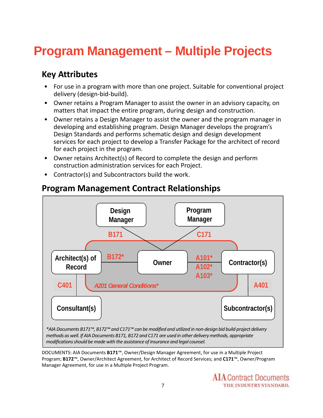### **Program Management – Multiple Projects**

### **Key Attributes**

- For use in a program with more than one project. Suitable for conventional project delivery (design‐bid‐build).
- Owner retains a Program Manager to assist the owner in an advisory capacity, on matters that impact the entire program, during design and construction.
- Owner retains a Design Manager to assist the owner and the program manager in developing and establishing program. Design Manager develops the program's Design Standards and performs schematic design and design development services for each project to develop a Transfer Package for the architect of record for each project in the program.
- Owner retains Architect(s) of Record to complete the design and perform construction administration services for each Project.
- Contractor(s) and Subcontractors build the work.



#### **Program Management Contract Relationships**

DOCUMENTS: AIA Documents **B171**™, Owner/Design Manager Agreement, for use in a Multiple Project Program; **B172**™, Owner/Architect Agreement, for Architect of Record Services; and **C171**™, Owner/Program Manager Agreement, for use in a Multiple Project Program.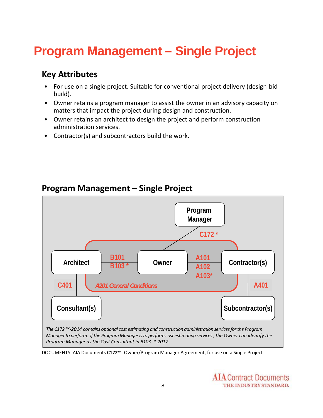### **Program Management – Single Project**

### **Key Attributes**

- For use on a single project. Suitable for conventional project delivery (design‐bid‐ build).
- Owner retains a program manager to assist the owner in an advisory capacity on matters that impact the project during design and construction.
- Owner retains an architect to design the project and perform construction administration services.
- Contractor(s) and subcontractors build the work.



#### **Program Management – Single Project**

DOCUMENTS: AIA Documents **C172**™, Owner/Program Manager Agreement, for use on a Single Project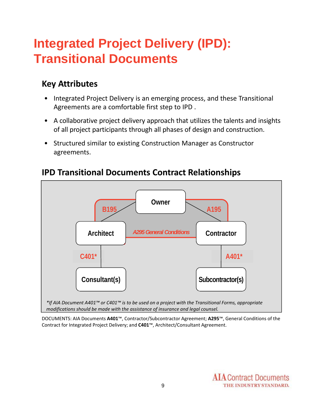### **Integrated Project Delivery (IPD): Transitional Documents**

### **Key Attributes**

- Integrated Project Delivery is an emerging process, and these Transitional Agreements are a comfortable first step to IPD .
- A collaborative project delivery approach that utilizes the talents and insights of all project participants through all phases of design and construction.
- Structured similar to existing Construction Manager as Constructor agreements.



#### **IPD Transitional Documents Contract Relationships**

DOCUMENTS: AIA Documents **A401**™, Contractor/Subcontractor Agreement; **A295**™, General Conditions of the Contract for Integrated Project Delivery; and **C401**™, Architect/Consultant Agreement.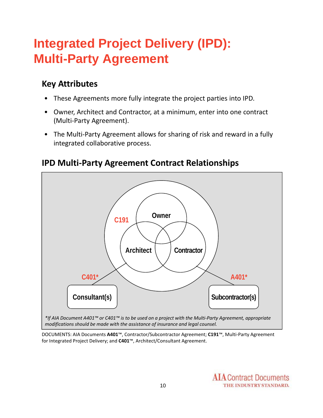### **Integrated Project Delivery (IPD): Multi-Party Agreement**

### **Key Attributes**

- These Agreements more fully integrate the project parties into IPD.
- Owner, Architect and Contractor, at a minimum, enter into one contract (Multi‐Party Agreement).
- The Multi-Party Agreement allows for sharing of risk and reward in a fully integrated collaborative process.



#### **IPD Multi‐Party Agreement Contract Relationships**

DOCUMENTS: AIA Documents **A401**™, Contractor/Subcontractor Agreement; **C191**™, Multi‐Party Agreement for Integrated Project Delivery; and **C401**™, Architect/Consultant Agreement.